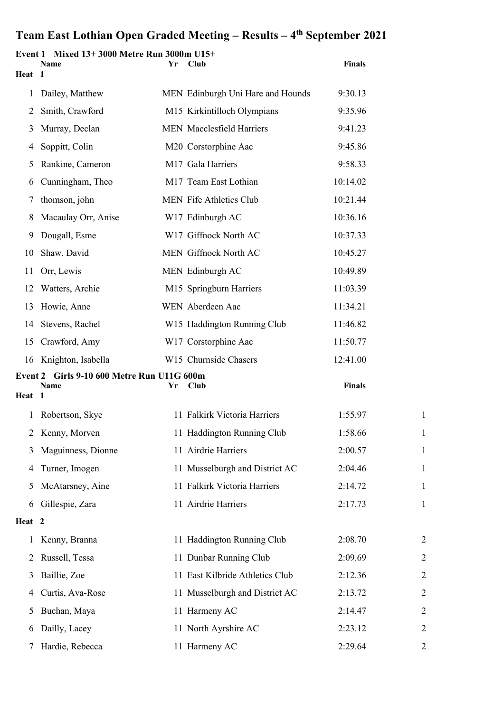| Heat 1 | Event 1 Mixed 13+3000 Metre Run 3000m U15+<br>Name | Yr | Club                              | <b>Finals</b> |                |
|--------|----------------------------------------------------|----|-----------------------------------|---------------|----------------|
|        |                                                    |    |                                   |               |                |
| 1      | Dailey, Matthew                                    |    | MEN Edinburgh Uni Hare and Hounds | 9:30.13       |                |
| 2      | Smith, Crawford                                    |    | M15 Kirkintilloch Olympians       | 9:35.96       |                |
| 3      | Murray, Declan                                     |    | <b>MEN</b> Macclesfield Harriers  | 9:41.23       |                |
| 4      | Soppitt, Colin                                     |    | M20 Corstorphine Aac              | 9:45.86       |                |
| 5      | Rankine, Cameron                                   |    | M17 Gala Harriers                 | 9:58.33       |                |
| 6      | Cunningham, Theo                                   |    | M17 Team East Lothian             | 10:14.02      |                |
| 7      | thomson, john                                      |    | MEN Fife Athletics Club           | 10:21.44      |                |
| 8      | Macaulay Orr, Anise                                |    | W17 Edinburgh AC                  | 10:36.16      |                |
| 9      | Dougall, Esme                                      |    | W17 Giffnock North AC             | 10:37.33      |                |
| 10     | Shaw, David                                        |    | MEN Giffnock North AC             | 10:45.27      |                |
| 11     | Orr, Lewis                                         |    | MEN Edinburgh AC                  | 10:49.89      |                |
| 12     | Watters, Archie                                    |    | M15 Springburn Harriers           | 11:03.39      |                |
| 13     | Howie, Anne                                        |    | WEN Aberdeen Aac                  | 11:34.21      |                |
| 14     | Stevens, Rachel                                    |    | W15 Haddington Running Club       | 11:46.82      |                |
| 15     | Crawford, Amy                                      |    | W17 Corstorphine Aac              | 11:50.77      |                |
| 16     | Knighton, Isabella                                 |    | W15 Churnside Chasers             | 12:41.00      |                |
|        | Event 2 Girls 9-10 600 Metre Run U11G 600m<br>Name | Yr | Club                              | <b>Finals</b> |                |
| Heat 1 |                                                    |    |                                   |               |                |
|        | Robertson, Skye                                    |    | 11 Falkirk Victoria Harriers      | 1:55.97       | $\mathbf{1}$   |
| 2      | Kenny, Morven                                      |    | 11 Haddington Running Club        | 1:58.66       | $\mathbf{1}$   |
| 3      | Maguinness, Dionne                                 |    | 11 Airdrie Harriers               | 2:00.57       | $\mathbf{1}$   |
| 4      | Turner, Imogen                                     |    | 11 Musselburgh and District AC    | 2:04.46       | $\mathbf{1}$   |
| 5      | McAtarsney, Aine                                   |    | 11 Falkirk Victoria Harriers      | 2:14.72       | $\mathbf{1}$   |
| 6      | Gillespie, Zara                                    |    | 11 Airdrie Harriers               | 2:17.73       | $\mathbf{1}$   |
| Heat 2 |                                                    |    |                                   |               |                |
| 1      | Kenny, Branna                                      |    | 11 Haddington Running Club        | 2:08.70       | $\overline{2}$ |
| 2      | Russell, Tessa                                     |    | 11 Dunbar Running Club            | 2:09.69       | $\overline{2}$ |
| 3      | Baillie, Zoe                                       |    | 11 East Kilbride Athletics Club   | 2:12.36       | $\overline{2}$ |
| 4      | Curtis, Ava-Rose                                   |    | 11 Musselburgh and District AC    | 2:13.72       | $\overline{2}$ |
| 5      | Buchan, Maya                                       |    | 11 Harmeny AC                     | 2:14.47       | $\overline{2}$ |
| 6      | Dailly, Lacey                                      |    | 11 North Ayrshire AC              | 2:23.12       | $\overline{2}$ |
| 7      | Hardie, Rebecca                                    |    | 11 Harmeny AC                     | 2:29.64       | $\overline{2}$ |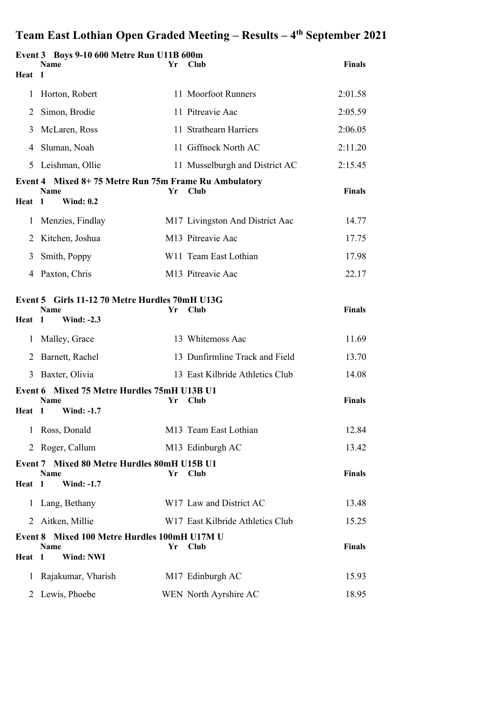|              | Event 3 Boys 9-10 600 Metre Run U11B 600m<br><b>Name</b>                                                  | Yr. | <b>Club</b>                      | <b>Finals</b> |
|--------------|-----------------------------------------------------------------------------------------------------------|-----|----------------------------------|---------------|
| Heat 1       |                                                                                                           |     |                                  |               |
| $\mathbf{I}$ | Horton, Robert                                                                                            |     | 11 Moorfoot Runners              | 2:01.58       |
| 2            | Simon, Brodie                                                                                             |     | 11 Pitreavie Aac                 | 2:05.59       |
| 3            | McLaren, Ross                                                                                             |     | 11 Strathearn Harriers           | 2:06.05       |
| 4            | Sluman, Noah                                                                                              |     | 11 Giffnock North AC             | 2:11.20       |
| 5            | Leishman, Ollie                                                                                           |     | 11 Musselburgh and District AC   | 2:15.45       |
| Heat         | Event 4 Mixed 8+75 Metre Run 75m Frame Ru Ambulatory<br><b>Name</b><br>$\blacksquare$<br><b>Wind: 0.2</b> | Yr  | Club                             | <b>Finals</b> |
| 1            | Menzies, Findlay                                                                                          |     | M17 Livingston And District Aac  | 14.77         |
| 2            | Kitchen, Joshua                                                                                           |     | M13 Pitreavie Aac                | 17.75         |
| 3            | Smith, Poppy                                                                                              |     | W11 Team East Lothian            | 17.98         |
| 4            | Paxton, Chris                                                                                             |     | M <sub>13</sub> Pitreavie Aac    | 22.17         |
| Heat         | Event 5 Girls 11-12 70 Metre Hurdles 70mH U13G<br><b>Name</b><br><b>Wind: -2.3</b><br>$\mathbf{1}$        | Yr  | Club                             | <b>Finals</b> |
| 1            | Malley, Grace                                                                                             |     | 13 Whitemoss Aac                 | 11.69         |
| 2            | Barnett, Rachel                                                                                           |     | 13 Dunfirmline Track and Field   | 13.70         |
| 3            | Baxter, Olivia                                                                                            |     | 13 East Kilbride Athletics Club  | 14.08         |
| Heat         | Event 6 Mixed 75 Metre Hurdles 75mH U13B U1<br>Name<br><b>Wind: -1.7</b><br>-1                            | Yr  | Club                             | <b>Finals</b> |
| 1            | Ross, Donald                                                                                              |     | M13 Team East Lothian            | 12.84         |
|              | 2 Roger, Callum                                                                                           |     | M13 Edinburgh AC                 | 13.42         |
| Heat 1       | Event 7 Mixed 80 Metre Hurdles 80mH U15B U1<br>Name<br><b>Wind: -1.7</b>                                  | Yr  | Club                             | <b>Finals</b> |
| $\mathbf{I}$ | Lang, Bethany                                                                                             |     | W17 Law and District AC          | 13.48         |
| 2            | Aitken, Millie                                                                                            |     | W17 East Kilbride Athletics Club | 15.25         |
| Heat         | Event 8 Mixed 100 Metre Hurdles 100mH U17M U<br>Name<br>$\mathbf{1}$<br>Wind: NWI                         | Yr  | Club                             | <b>Finals</b> |
| $\mathbf{I}$ | Rajakumar, Vharish                                                                                        |     | M17 Edinburgh AC                 | 15.93         |
| 2            | Lewis, Phoebe                                                                                             |     | WEN North Ayrshire AC            | 18.95         |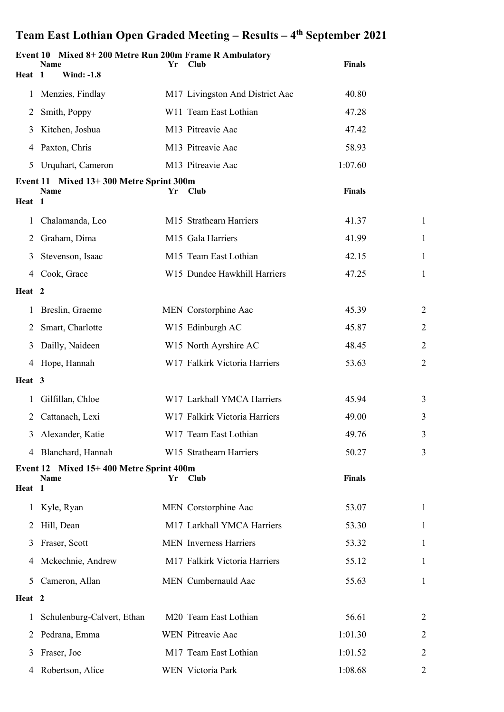|                   | Event 10 Mixed 8+200 Metre Run 200m Frame R Ambulatory<br>Name | Yr | Club                            | <b>Finals</b> |                |
|-------------------|----------------------------------------------------------------|----|---------------------------------|---------------|----------------|
| Heat 1            | <b>Wind: -1.8</b>                                              |    |                                 |               |                |
| 1                 | Menzies, Findlay                                               |    | M17 Livingston And District Aac | 40.80         |                |
| 2                 | Smith, Poppy                                                   |    | W11 Team East Lothian           | 47.28         |                |
| 3                 | Kitchen, Joshua                                                |    | M13 Pitreavie Aac               | 47.42         |                |
| 4                 | Paxton, Chris                                                  |    | M13 Pitreavie Aac               | 58.93         |                |
| 5                 | Urquhart, Cameron                                              |    | M13 Pitreavie Aac               | 1:07.60       |                |
|                   | Event 11 Mixed 13+300 Metre Sprint 300m<br><b>Name</b>         | Yr | Club                            | <b>Finals</b> |                |
| Heat 1            |                                                                |    |                                 |               |                |
| 1                 | Chalamanda, Leo                                                |    | M15 Strathearn Harriers         | 41.37         | $\mathbf{1}$   |
| 2                 | Graham, Dima                                                   |    | M15 Gala Harriers               | 41.99         | $\mathbf{1}$   |
| 3                 | Stevenson, Isaac                                               |    | M15 Team East Lothian           | 42.15         | 1              |
| 4                 | Cook, Grace                                                    |    | W15 Dundee Hawkhill Harriers    | 47.25         | 1              |
| Heat <sub>2</sub> |                                                                |    |                                 |               |                |
| 1                 | Breslin, Graeme                                                |    | MEN Corstorphine Aac            | 45.39         | $\overline{2}$ |
| 2                 | Smart, Charlotte                                               |    | W15 Edinburgh AC                | 45.87         | $\overline{2}$ |
| 3                 | Dailly, Naideen                                                |    | W15 North Ayrshire AC           | 48.45         | $\overline{2}$ |
| 4                 | Hope, Hannah                                                   |    | W17 Falkirk Victoria Harriers   | 53.63         | $\overline{2}$ |
| Heat 3            |                                                                |    |                                 |               |                |
| 1                 | Gilfillan, Chloe                                               |    | W17 Larkhall YMCA Harriers      | 45.94         | 3              |
| 2                 | Cattanach, Lexi                                                |    | W17 Falkirk Victoria Harriers   | 49.00         | 3              |
| 3                 | Alexander, Katie                                               |    | W17 Team East Lothian           | 49.76         | 3              |
| 4                 | Blanchard, Hannah                                              |    | W15 Strathearn Harriers         | 50.27         | 3              |
|                   | Event 12 Mixed 15+400 Metre Sprint 400m                        |    |                                 | <b>Finals</b> |                |
| Heat 1            | Name                                                           | Yr | Club                            |               |                |
| $\perp$           | Kyle, Ryan                                                     |    | MEN Corstorphine Aac            | 53.07         | 1              |
| 2                 | Hill, Dean                                                     |    | M17 Larkhall YMCA Harriers      | 53.30         | 1              |
| 3                 | Fraser, Scott                                                  |    | <b>MEN</b> Inverness Harriers   | 53.32         | 1              |
| 4                 | Mckechnie, Andrew                                              |    | M17 Falkirk Victoria Harriers   | 55.12         | 1              |
| 5                 | Cameron, Allan                                                 |    | MEN Cumbernauld Aac             | 55.63         | 1              |
| Heat 2            |                                                                |    |                                 |               |                |
| 1                 | Schulenburg-Calvert, Ethan                                     |    | M20 Team East Lothian           | 56.61         | $\overline{2}$ |
| 2                 | Pedrana, Emma                                                  |    | WEN Pitreavie Aac               | 1:01.30       | $\overline{2}$ |
| 3                 | Fraser, Joe                                                    |    | M17 Team East Lothian           | 1:01.52       | 2              |
| 4                 | Robertson, Alice                                               |    | WEN Victoria Park               | 1:08.68       | $\overline{2}$ |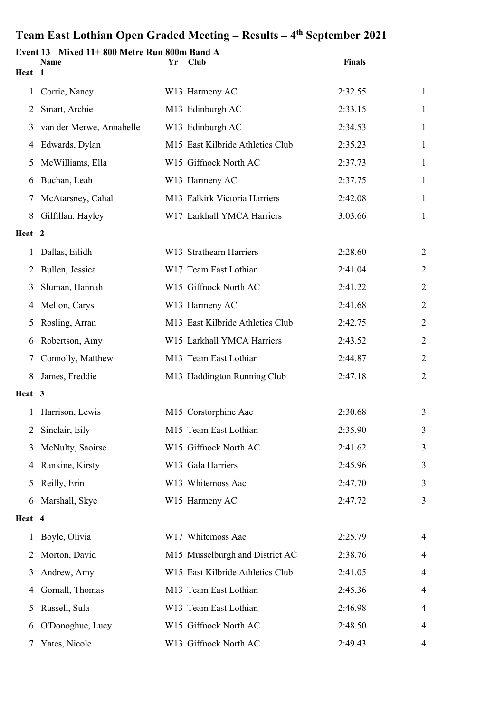|              | Event 13 Mixed 11+800 Metre Run 800m Band A |    |                                  | <b>Finals</b> |                |
|--------------|---------------------------------------------|----|----------------------------------|---------------|----------------|
| Heat 1       | Name                                        | Yr | Club                             |               |                |
| $\mathbf{1}$ | Corrie, Nancy                               |    | W13 Harmeny AC                   | 2:32.55       | $\mathbf{1}$   |
| 2            | Smart, Archie                               |    | M13 Edinburgh AC                 | 2:33.15       | $\mathbf{1}$   |
| 3            | van der Merwe, Annabelle                    |    | W13 Edinburgh AC                 | 2:34.53       | $\mathbf{1}$   |
| 4            | Edwards, Dylan                              |    | M15 East Kilbride Athletics Club | 2:35.23       | 1              |
| 5            | McWilliams, Ella                            |    | W15 Giffnock North AC            | 2:37.73       | $\mathbf{1}$   |
| 6            | Buchan, Leah                                |    | W13 Harmeny AC                   | 2:37.75       | $\mathbf{1}$   |
| 7            | McAtarsney, Cahal                           |    | M13 Falkirk Victoria Harriers    | 2:42.08       | $\mathbf{1}$   |
| 8            | Gilfillan, Hayley                           |    | W17 Larkhall YMCA Harriers       | 3:03.66       | 1              |
| Heat 2       |                                             |    |                                  |               |                |
| 1            | Dallas, Eilidh                              |    | W13 Strathearn Harriers          | 2:28.60       | $\overline{2}$ |
| 2            | Bullen, Jessica                             |    | W17 Team East Lothian            | 2:41.04       | $\overline{2}$ |
| 3            | Sluman, Hannah                              |    | W15 Giffnock North AC            | 2:41.22       | $\overline{2}$ |
| 4            | Melton, Carys                               |    | W13 Harmeny AC                   | 2:41.68       | $\overline{2}$ |
| 5            | Rosling, Arran                              |    | M13 East Kilbride Athletics Club | 2:42.75       | $\overline{2}$ |
| 6            | Robertson, Amy                              |    | W15 Larkhall YMCA Harriers       | 2:43.52       | $\overline{2}$ |
| 7            | Connolly, Matthew                           |    | M13 Team East Lothian            | 2:44.87       | $\overline{2}$ |
| 8            | James, Freddie                              |    | M13 Haddington Running Club      | 2:47.18       | $\overline{2}$ |
| Heat 3       |                                             |    |                                  |               |                |
| 1            | Harrison, Lewis                             |    | M15 Corstorphine Aac             | 2:30.68       | 3              |
| 2            | Sinclair, Eily                              |    | M15 Team East Lothian            | 2:35.90       | 3              |
| 3            | McNulty, Saoirse                            |    | W15 Giffnock North AC            | 2:41.62       | 3              |
| 4            | Rankine, Kirsty                             |    | W13 Gala Harriers                | 2:45.96       | 3              |
| 5            | Reilly, Erin                                |    | W13 Whitemoss Aac                | 2:47.70       | 3              |
| 6            | Marshall, Skye                              |    | W15 Harmeny AC                   | 2:47.72       | 3              |
| Heat 4       |                                             |    |                                  |               |                |
| 1            | Boyle, Olivia                               |    | W17 Whitemoss Aac                | 2:25.79       | 4              |
| 2            | Morton, David                               |    | M15 Musselburgh and District AC  | 2:38.76       | 4              |
| 3            | Andrew, Amy                                 |    | W15 East Kilbride Athletics Club | 2:41.05       | 4              |
| 4            | Gornall, Thomas                             |    | M13 Team East Lothian            | 2:45.36       | 4              |
| 5            | Russell, Sula                               |    | W13 Team East Lothian            | 2:46.98       | 4              |
| 6            | O'Donoghue, Lucy                            |    | W15 Giffnock North AC            | 2:48.50       | 4              |
| 7            | Yates, Nicole                               |    | W13 Giffnock North AC            | 2:49.43       | 4              |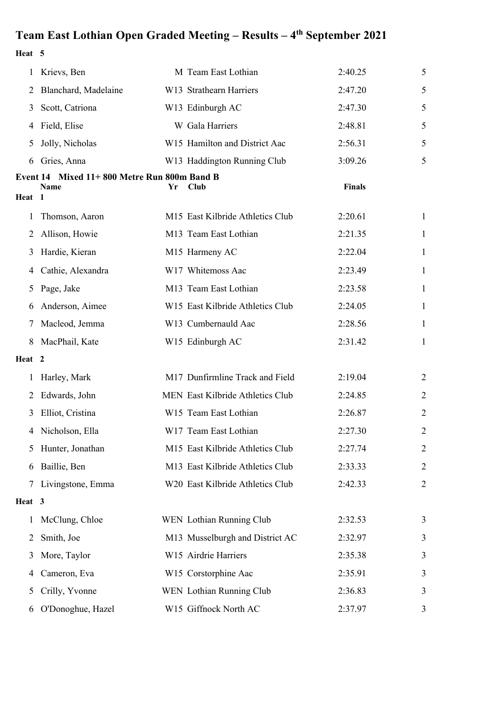**Heat 5**

| 1      | Krievs, Ben                                 |    | M Team East Lothian              | 2:40.25       | 5              |
|--------|---------------------------------------------|----|----------------------------------|---------------|----------------|
| 2      | Blanchard, Madelaine                        |    | W13 Strathearn Harriers          | 2:47.20       | 5              |
| 3      | Scott, Catriona                             |    | W13 Edinburgh AC                 | 2:47.30       | 5              |
| 4      | Field, Elise                                |    | W Gala Harriers                  | 2:48.81       | 5              |
| 5      | Jolly, Nicholas                             |    | W15 Hamilton and District Aac    | 2:56.31       | 5              |
| 6      | Gries, Anna                                 |    | W13 Haddington Running Club      | 3:09.26       | 5              |
|        | Event 14 Mixed 11+800 Metre Run 800m Band B |    |                                  |               |                |
| Heat 1 | Name                                        | Yr | Club                             | <b>Finals</b> |                |
| 1      | Thomson, Aaron                              |    | M15 East Kilbride Athletics Club | 2:20.61       | 1              |
| 2      | Allison, Howie                              |    | M13 Team East Lothian            | 2:21.35       | 1              |
| 3      | Hardie, Kieran                              |    | M15 Harmeny AC                   | 2:22.04       | 1              |
| 4      | Cathie, Alexandra                           |    | W17 Whitemoss Aac                | 2:23.49       | 1              |
| 5      | Page, Jake                                  |    | M13 Team East Lothian            | 2:23.58       | 1              |
| 6      | Anderson, Aimee                             |    | W15 East Kilbride Athletics Club | 2:24.05       | 1              |
| 7      | Macleod, Jemma                              |    | W13 Cumbernauld Aac              | 2:28.56       | 1              |
| 8      | MacPhail, Kate                              |    | W15 Edinburgh AC                 | 2:31.42       | 1              |
| Heat 2 |                                             |    |                                  |               |                |
| 1      | Harley, Mark                                |    | M17 Dunfirmline Track and Field  | 2:19.04       | 2              |
| 2      | Edwards, John                               |    | MEN East Kilbride Athletics Club | 2:24.85       | $\overline{2}$ |
| 3      | Elliot, Cristina                            |    | W15 Team East Lothian            | 2:26.87       | $\overline{2}$ |
|        | 4 Nicholson, Ella                           |    | W17 Team East Lothian            | 2:27.30       | $\overline{2}$ |
| 5      | Hunter, Jonathan                            |    | M15 East Kilbride Athletics Club | 2:27.74       | $\overline{2}$ |
| 6      | Baillie, Ben                                |    | M13 East Kilbride Athletics Club | 2:33.33       | $\overline{2}$ |
| 7      | Livingstone, Emma                           |    | W20 East Kilbride Athletics Club | 2:42.33       | $\overline{2}$ |
| Heat 3 |                                             |    |                                  |               |                |
| 1      | McClung, Chloe                              |    | WEN Lothian Running Club         | 2:32.53       | 3              |
| 2      | Smith, Joe                                  |    | M13 Musselburgh and District AC  | 2:32.97       | 3              |
| 3      | More, Taylor                                |    | W15 Airdrie Harriers             | 2:35.38       | 3              |
| 4      | Cameron, Eva                                |    | W15 Corstorphine Aac             | 2:35.91       | 3              |
| 5      | Crilly, Yvonne                              |    | WEN Lothian Running Club         | 2:36.83       | 3              |
| 6      | O'Donoghue, Hazel                           |    | W15 Giffnock North AC            | 2:37.97       | 3              |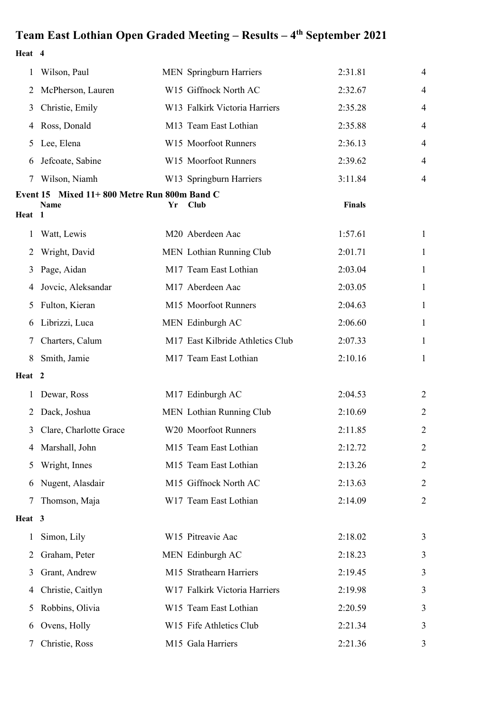**Heat 4**

|                    | Wilson, Paul                               |    | <b>MEN</b> Springburn Harriers   | 2:31.81       | 4              |
|--------------------|--------------------------------------------|----|----------------------------------|---------------|----------------|
| 2                  | McPherson, Lauren                          |    | W15 Giffnock North AC            | 2:32.67       | 4              |
| 3                  | Christie, Emily                            |    | W13 Falkirk Victoria Harriers    | 2:35.28       | 4              |
| 4                  | Ross, Donald                               |    | M13 Team East Lothian            | 2:35.88       | 4              |
| 5                  | Lee, Elena                                 |    | W15 Moorfoot Runners             | 2:36.13       | 4              |
| 6                  | Jefcoate, Sabine                           |    | W15 Moorfoot Runners             | 2:39.62       | 4              |
|                    | Wilson, Niamh                              |    | W13 Springburn Harriers          | 3:11.84       | 4              |
| Event 15<br>Heat 1 | Mixed 11+800 Metre Run 800m Band C<br>Name | Yr | Club                             | <b>Finals</b> |                |
| 1                  | Watt, Lewis                                |    | M20 Aberdeen Aac                 | 1:57.61       | 1              |
| 2                  | Wright, David                              |    | MEN Lothian Running Club         | 2:01.71       | $\mathbf{1}$   |
| 3                  | Page, Aidan                                |    | M17 Team East Lothian            | 2:03.04       | 1              |
| 4                  | Jovcic, Aleksandar                         |    | M17 Aberdeen Aac                 | 2:03.05       | 1              |
| 5                  | Fulton, Kieran                             |    | M15 Moorfoot Runners             | 2:04.63       | 1              |
| 6                  | Librizzi, Luca                             |    | MEN Edinburgh AC                 | 2:06.60       | $\mathbf{1}$   |
|                    | Charters, Calum                            |    | M17 East Kilbride Athletics Club | 2:07.33       | 1              |
| 8                  | Smith, Jamie                               |    | M17 Team East Lothian            | 2:10.16       | 1              |
| Heat 2             |                                            |    |                                  |               |                |
|                    | Dewar, Ross                                |    | M17 Edinburgh AC                 | 2:04.53       | $\overline{2}$ |
| 2                  | Dack, Joshua                               |    | MEN Lothian Running Club         | 2:10.69       | 2              |
| 3                  | Clare, Charlotte Grace                     |    | W20 Moorfoot Runners             | 2:11.85       | 2              |
|                    | Marshall, John                             |    | M15 Team East Lothian            | 2:12.72       | $\overline{2}$ |
| 5                  | Wright, Innes                              |    | M15 Team East Lothian            | 2:13.26       | $\overline{2}$ |
| 6                  | Nugent, Alasdair                           |    | M15 Giffnock North AC            | 2:13.63       | $\overline{2}$ |
| 7                  | Thomson, Maja                              |    | W17 Team East Lothian            | 2:14.09       | $\overline{2}$ |
| Heat 3             |                                            |    |                                  |               |                |
| 1                  | Simon, Lily                                |    | W15 Pitreavie Aac                | 2:18.02       | 3              |
| 2                  | Graham, Peter                              |    | MEN Edinburgh AC                 | 2:18.23       | 3              |
| 3                  | Grant, Andrew                              |    | M15 Strathearn Harriers          | 2:19.45       | 3              |
| 4                  | Christie, Caitlyn                          |    | W17 Falkirk Victoria Harriers    | 2:19.98       | 3              |
| 5                  | Robbins, Olivia                            |    | W15 Team East Lothian            | 2:20.59       | 3              |
| 6                  | Ovens, Holly                               |    | W15 Fife Athletics Club          | 2:21.34       | 3              |
| 7                  | Christie, Ross                             |    | M15 Gala Harriers                | 2:21.36       | 3              |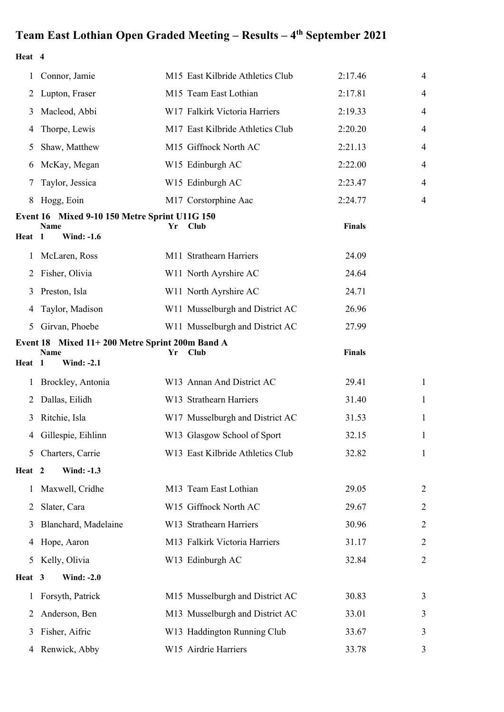**Heat 4**

| 1      | Connor, Jamie                                                 |    | M15 East Kilbride Athletics Club | 2:17.46       | $\overline{4}$ |
|--------|---------------------------------------------------------------|----|----------------------------------|---------------|----------------|
| 2      | Lupton, Fraser                                                |    | M15 Team East Lothian            | 2:17.81       | 4              |
| 3      | Macleod, Abbi                                                 |    | W17 Falkirk Victoria Harriers    | 2:19.33       | $\overline{4}$ |
| 4      | Thorpe, Lewis                                                 |    | M17 East Kilbride Athletics Club | 2:20.20       | 4              |
| 5      | Shaw, Matthew                                                 |    | M15 Giffnock North AC            | 2:21.13       | $\overline{4}$ |
| 6      | McKay, Megan                                                  |    | W15 Edinburgh AC                 | 2:22.00       | 4              |
| 7      | Taylor, Jessica                                               |    | W15 Edinburgh AC                 | 2:23.47       | 4              |
| 8      | Hogg, Eoin                                                    |    | M17 Corstorphine Aac             | 2:24.77       | 4              |
|        | Event 16 Mixed 9-10 150 Metre Sprint U11G 150                 |    |                                  |               |                |
| Heat   | Name<br>$\blacksquare$<br><b>Wind: -1.6</b>                   | Yr | Club                             | <b>Finals</b> |                |
| 1      | McLaren, Ross                                                 |    | M11 Strathearn Harriers          | 24.09         |                |
| 2      | Fisher, Olivia                                                |    | W11 North Ayrshire AC            | 24.64         |                |
| 3      | Preston, Isla                                                 |    | W11 North Ayrshire AC            | 24.71         |                |
| 4      | Taylor, Madison                                               |    | W11 Musselburgh and District AC  | 26.96         |                |
| 5      | Girvan, Phoebe                                                |    | W11 Musselburgh and District AC  | 27.99         |                |
|        | Event 18 Mixed 11+200 Metre Sprint 200m Band A<br><b>Name</b> | Yr | Club                             | <b>Finals</b> |                |
| Heat   | <b>Wind: -2.1</b><br>$\mathbf{1}$                             |    |                                  |               |                |
| 1      | Brockley, Antonia                                             |    | W13 Annan And District AC        | 29.41         | $\mathbf{1}$   |
| 2      | Dallas, Eilidh                                                |    | W13 Strathearn Harriers          | 31.40         | $\mathbf{1}$   |
| 3      | Ritchie, Isla                                                 |    | W17 Musselburgh and District AC  | 31.53         | $\mathbf{1}$   |
| 4      | Gillespie, Eihlinn                                            |    | W13 Glasgow School of Sport      | 32.15         | 1              |
| 5      | Charters, Carrie                                              |    | W13 East Kilbride Athletics Club | 32.82         | $\mathbf{1}$   |
| Heat 2 | <b>Wind: -1.3</b>                                             |    |                                  |               |                |
| 1      | Maxwell, Cridhe                                               |    | M13 Team East Lothian            | 29.05         | 2              |
| 2      | Slater, Cara                                                  |    | W15 Giffnock North AC            | 29.67         | $\overline{2}$ |
| 3      | Blanchard, Madelaine                                          |    | W13 Strathearn Harriers          | 30.96         | 2              |
| 4      | Hope, Aaron                                                   |    | M13 Falkirk Victoria Harriers    | 31.17         | $\overline{2}$ |
| 5      | Kelly, Olivia                                                 |    | W13 Edinburgh AC                 | 32.84         | $\overline{2}$ |
| Heat 3 | <b>Wind: -2.0</b>                                             |    |                                  |               |                |
| 1      | Forsyth, Patrick                                              |    | M15 Musselburgh and District AC  | 30.83         | 3              |
| 2      | Anderson, Ben                                                 |    | M13 Musselburgh and District AC  | 33.01         | 3              |
| 3      | Fisher, Aifric                                                |    | W13 Haddington Running Club      | 33.67         | 3              |
| 4      | Renwick, Abby                                                 |    | W15 Airdrie Harriers             | 33.78         | 3              |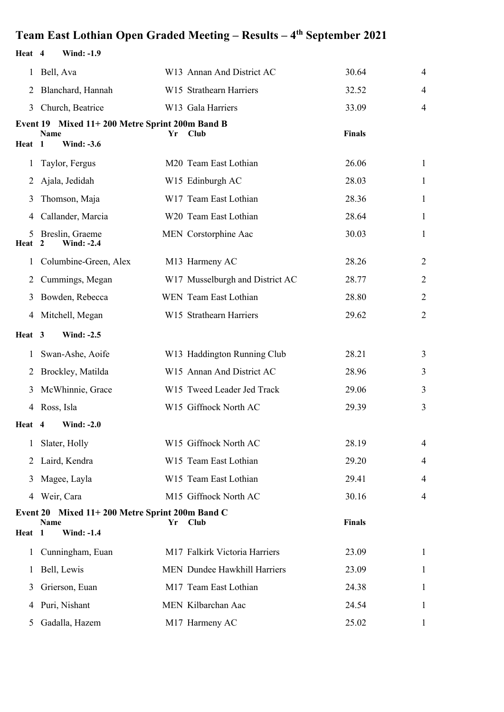#### **Heat 4 Wind: -1.9** 1 Bell, Ava W13 Annan And District AC 30.64 4 2 Blanchard, Hannah W15 Strathearn Harriers 32.52 4 3 Church, Beatrice W13 Gala Harriers 33.09 4 **Event 19 Mixed 11+ 200 Metre Sprint 200m Band B Name Yr Club Finals Heat 1 Wind: -3.6** 1 Taylor, Fergus M20 Team East Lothian 26.06 1 2 Ajala, Jedidah W15 Edinburgh AC 28.03 1 3 Thomson, Maja W17 Team East Lothian 28.36 1 4 Callander, Marcia W20 Team East Lothian 28.64 1 5 Breslin, Graeme MEN Corstorphine Aac 30.03 1 Heat 2 Wind: -2.4 **Wind: -2.4** 1 Columbine-Green, Alex M13 Harmeny AC 28.26 2 2 Cummings, Megan W17 Musselburgh and District AC 28.77 2 2 3 Bowden, Rebecca WEN Team East Lothian 28.80 28.80 2 4 Mitchell, Megan W15 Strathearn Harriers 29.62 2 **Heat 3 Wind: -2.5** 1 Swan-Ashe, Aoife W13 Haddington Running Club 28.21 3 2 Brockley, Matilda W15 Annan And District AC 28.96 3 3 McWhinnie, Grace W15 Tweed Leader Jed Track 29.06 3 4 Ross, Isla W15 Giffnock North AC 29.39 3 **Heat 4 Wind: -2.0** 1 Slater, Holly W15 Giffnock North AC 28.19 4 2 Laird, Kendra W15 Team East Lothian 29.20 4 3 Magee, Layla W15 Team East Lothian 29.41 4 4 Weir, Cara M15 Giffnock North AC 30.16 4 **Event 20 Mixed 11+ 200 Metre Sprint 200m Band C Name Yr Club Finals Heat 1 Wind: -1.4** 1 Cunningham, Euan M17 Falkirk Victoria Harriers 23.09 1 1 Bell, Lewis MEN Dundee Hawkhill Harriers 23.09 1 3 Grierson, Euan M17 Team East Lothian 24.38 1 4 Puri, Nishant MEN Kilbarchan Aac 24.54 1 5 Gadalla, Hazem 1 M17 Harmeny AC 25.02 1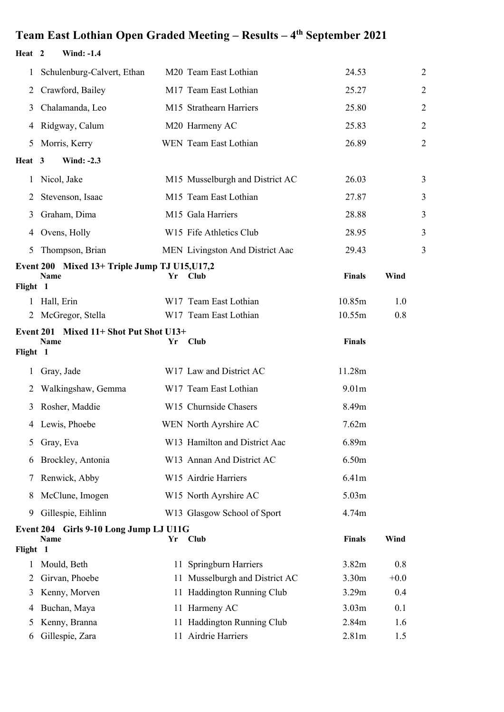#### **Heat 2 Wind: -1.4**

| 1             | Schulenburg-Calvert, Ethan                                   |    | M20 Team East Lothian           | 24.53             |        | $\overline{c}$ |
|---------------|--------------------------------------------------------------|----|---------------------------------|-------------------|--------|----------------|
| 2             | Crawford, Bailey                                             |    | M17 Team East Lothian           | 25.27             |        | $\overline{c}$ |
| 3             | Chalamanda, Leo                                              |    | M15 Strathearn Harriers         | 25.80             |        | $\overline{c}$ |
| 4             | Ridgway, Calum                                               |    | M20 Harmeny AC                  | 25.83             |        | $\overline{c}$ |
| 5             | Morris, Kerry                                                |    | WEN Team East Lothian           | 26.89             |        | $\overline{2}$ |
| Heat 3        | <b>Wind: -2.3</b>                                            |    |                                 |                   |        |                |
| $\mathbf{1}$  | Nicol, Jake                                                  |    | M15 Musselburgh and District AC | 26.03             |        | 3              |
| 2             | Stevenson, Isaac                                             |    | M15 Team East Lothian           | 27.87             |        | 3              |
| 3             | Graham, Dima                                                 |    | M15 Gala Harriers               | 28.88             |        | 3              |
| 4             | Ovens, Holly                                                 |    | W15 Fife Athletics Club         | 28.95             |        | 3              |
| 5             | Thompson, Brian                                              |    | MEN Livingston And District Aac | 29.43             |        | 3              |
|               | Event 200 Mixed 13+ Triple Jump TJ U15, U17,2<br><b>Name</b> | Yr | Club                            | <b>Finals</b>     | Wind   |                |
| Flight 1<br>1 | Hall, Erin                                                   |    | W17 Team East Lothian           | 10.85m            | 1.0    |                |
| 2             | McGregor, Stella                                             |    | W17 Team East Lothian           | 10.55m            | 0.8    |                |
|               | Event 201 Mixed 11+ Shot Put Shot U13+                       |    |                                 |                   |        |                |
| Flight 1      | Name                                                         | Yr | <b>Club</b>                     | <b>Finals</b>     |        |                |
| 1             | Gray, Jade                                                   |    | W17 Law and District AC         | 11.28m            |        |                |
| 2             | Walkingshaw, Gemma                                           |    | W17 Team East Lothian           | 9.01 <sub>m</sub> |        |                |
| 3             | Rosher, Maddie                                               |    | W15 Churnside Chasers           | 8.49m             |        |                |
| 4             | Lewis, Phoebe                                                |    | WEN North Ayrshire AC           | 7.62m             |        |                |
|               |                                                              |    |                                 | 6.89m             |        |                |
|               | 5 Gray, Eva<br>Brockley, Antonia                             |    | W13 Hamilton and District Aac   | 6.50m             |        |                |
| 6             |                                                              |    | W13 Annan And District AC       |                   |        |                |
| 7             | Renwick, Abby                                                |    | W15 Airdrie Harriers            | 6.41m             |        |                |
| 8             | McClune, Imogen                                              |    | W15 North Ayrshire AC           | 5.03 <sub>m</sub> |        |                |
| 9             | Gillespie, Eihlinn                                           |    | W13 Glasgow School of Sport     | 4.74m             |        |                |
| Flight 1      | Event 204 Girls 9-10 Long Jump LJ U11G<br>Name               | Yr | <b>Club</b>                     | Finals            | Wind   |                |
| 1             | Mould, Beth                                                  |    | 11 Springburn Harriers          | 3.82m             | 0.8    |                |
| 2             | Girvan, Phoebe                                               |    | 11 Musselburgh and District AC  | 3.30 <sub>m</sub> | $+0.0$ |                |
| 3             | Kenny, Morven                                                |    | 11 Haddington Running Club      | 3.29m             | 0.4    |                |
| 4             | Buchan, Maya                                                 |    | 11 Harmeny AC                   | 3.03m             | 0.1    |                |
| Ć             | Kenny, Branna                                                |    | 11 Haddington Running Club      | 2.84m             | 1.6    |                |
| 6             | Gillespie, Zara                                              |    | 11 Airdrie Harriers             | 2.81m             | 1.5    |                |